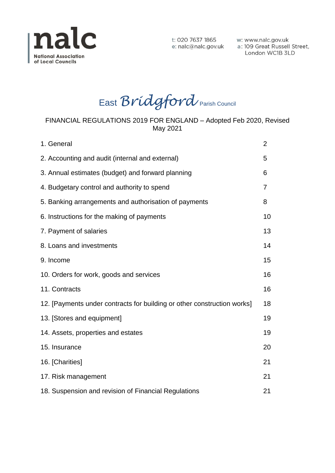

London WC1B 3LD

East *Bridgford* Parish Council

#### FINANCIAL REGULATIONS 2019 FOR ENGLAND – Adopted Feb 2020, Revised May 2021

| 1. General                                                              | 2              |
|-------------------------------------------------------------------------|----------------|
| 2. Accounting and audit (internal and external)                         | 5              |
| 3. Annual estimates (budget) and forward planning                       |                |
| 4. Budgetary control and authority to spend                             | $\overline{7}$ |
| 5. Banking arrangements and authorisation of payments                   | 8              |
| 6. Instructions for the making of payments                              | 10             |
| 7. Payment of salaries                                                  | 13             |
| 8. Loans and investments                                                | 14             |
| 9. Income                                                               | 15             |
| 10. Orders for work, goods and services                                 | 16             |
| 11. Contracts                                                           | 16             |
| 12. [Payments under contracts for building or other construction works] | 18             |
| 13. [Stores and equipment]                                              | 19             |
| 14. Assets, properties and estates                                      |                |
| 15. Insurance                                                           |                |
| 16. [Charities]                                                         | 21             |
| 17. Risk management                                                     |                |
| 18. Suspension and revision of Financial Regulations                    | 21             |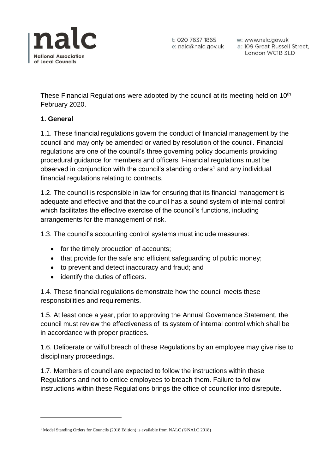

t: 020 7637 1865 e: nalc@nalc.gov.uk

w: www.nalc.gov.uk a: 109 Great Russell Street, London WC1B 3LD

These Financial Regulations were adopted by the council at its meeting held on 10<sup>th</sup> February 2020.

## **1. General**

**.** 

1.1. These financial regulations govern the conduct of financial management by the council and may only be amended or varied by resolution of the council. Financial regulations are one of the council's three governing policy documents providing procedural guidance for members and officers. Financial regulations must be observed in conjunction with the council's standing orders<sup>1</sup> and any individual financial regulations relating to contracts.

1.2. The council is responsible in law for ensuring that its financial management is adequate and effective and that the council has a sound system of internal control which facilitates the effective exercise of the council's functions, including arrangements for the management of risk.

1.3. The council's accounting control systems must include measures:

- for the timely production of accounts;
- that provide for the safe and efficient safeguarding of public money;
- to prevent and detect inaccuracy and fraud; and
- identify the duties of officers.

1.4. These financial regulations demonstrate how the council meets these responsibilities and requirements.

1.5. At least once a year, prior to approving the Annual Governance Statement, the council must review the effectiveness of its system of internal control which shall be in accordance with proper practices.

1.6. Deliberate or wilful breach of these Regulations by an employee may give rise to disciplinary proceedings.

1.7. Members of council are expected to follow the instructions within these Regulations and not to entice employees to breach them. Failure to follow instructions within these Regulations brings the office of councillor into disrepute.

<sup>&</sup>lt;sup>1</sup> Model Standing Orders for Councils (2018 Edition) is available from NALC (©NALC 2018)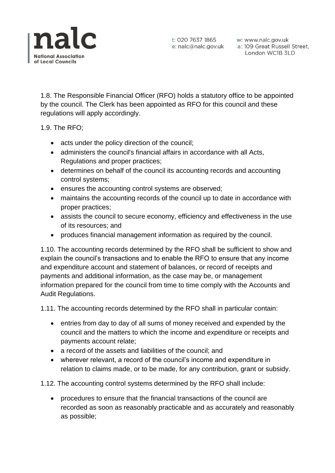

1.8. The Responsible Financial Officer (RFO) holds a statutory office to be appointed by the council. The Clerk has been appointed as RFO for this council and these regulations will apply accordingly.

1.9. The RFO;

- acts under the policy direction of the council;
- administers the council's financial affairs in accordance with all Acts, Regulations and proper practices;
- determines on behalf of the council its accounting records and accounting control systems;
- ensures the accounting control systems are observed;
- maintains the accounting records of the council up to date in accordance with proper practices;
- assists the council to secure economy, efficiency and effectiveness in the use of its resources; and
- produces financial management information as required by the council.

1.10. The accounting records determined by the RFO shall be sufficient to show and explain the council's transactions and to enable the RFO to ensure that any income and expenditure account and statement of balances, or record of receipts and payments and additional information, as the case may be, or management information prepared for the council from time to time comply with the Accounts and Audit Regulations.

1.11. The accounting records determined by the RFO shall in particular contain:

- entries from day to day of all sums of money received and expended by the council and the matters to which the income and expenditure or receipts and payments account relate;
- a record of the assets and liabilities of the council; and
- wherever relevant, a record of the council's income and expenditure in relation to claims made, or to be made, for any contribution, grant or subsidy.

1.12. The accounting control systems determined by the RFO shall include:

 procedures to ensure that the financial transactions of the council are recorded as soon as reasonably practicable and as accurately and reasonably as possible;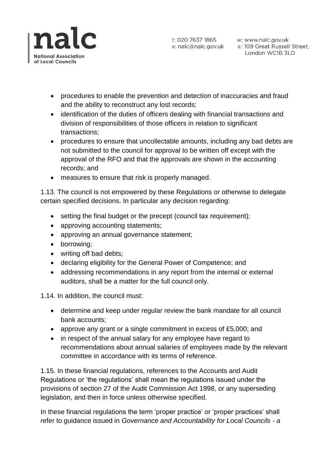

- procedures to enable the prevention and detection of inaccuracies and fraud and the ability to reconstruct any lost records;
- identification of the duties of officers dealing with financial transactions and division of responsibilities of those officers in relation to significant transactions;
- procedures to ensure that uncollectable amounts, including any bad debts are not submitted to the council for approval to be written off except with the approval of the RFO and that the approvals are shown in the accounting records; and
- measures to ensure that risk is properly managed.

1.13. The council is not empowered by these Regulations or otherwise to delegate certain specified decisions. In particular any decision regarding:

- setting the final budget or the precept (council tax requirement);
- approving accounting statements;
- approving an annual governance statement;
- borrowing;
- writing off bad debts;
- declaring eligibility for the General Power of Competence; and
- addressing recommendations in any report from the internal or external auditors, shall be a matter for the full council only.

1.14. In addition, the council must:

- determine and keep under regular review the bank mandate for all council bank accounts;
- approve any grant or a single commitment in excess of £5,000; and
- in respect of the annual salary for any employee have regard to recommendations about annual salaries of employees made by the relevant committee in accordance with its terms of reference.

1.15. In these financial regulations, references to the Accounts and Audit Regulations or 'the regulations' shall mean the regulations issued under the provisions of section 27 of the Audit Commission Act 1998, or any superseding legislation, and then in force unless otherwise specified.

In these financial regulations the term 'proper practice' or 'proper practices' shall refer to guidance issued in *Governance and Accountability for Local Councils - a*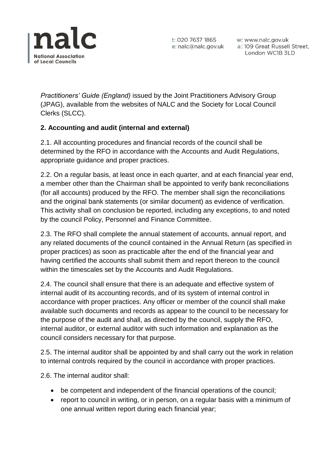

t: 020 7637 1865 w: www.nalc.gov.uk<br>e: nalc@nalc.gov.uk a: 109 Great Russell Street, London WC1B 3LD

*Practitioners' Guide (England)* issued by the Joint Practitioners Advisory Group (JPAG), available from the websites of NALC and the Society for Local Council Clerks (SLCC).

# **2. Accounting and audit (internal and external)**

2.1. All accounting procedures and financial records of the council shall be determined by the RFO in accordance with the Accounts and Audit Regulations, appropriate guidance and proper practices.

2.2. On a regular basis, at least once in each quarter, and at each financial year end, a member other than the Chairman shall be appointed to verify bank reconciliations (for all accounts) produced by the RFO. The member shall sign the reconciliations and the original bank statements (or similar document) as evidence of verification. This activity shall on conclusion be reported, including any exceptions, to and noted by the council Policy, Personnel and Finance Committee.

2.3. The RFO shall complete the annual statement of accounts, annual report, and any related documents of the council contained in the Annual Return (as specified in proper practices) as soon as practicable after the end of the financial year and having certified the accounts shall submit them and report thereon to the council within the timescales set by the Accounts and Audit Regulations.

2.4. The council shall ensure that there is an adequate and effective system of internal audit of its accounting records, and of its system of internal control in accordance with proper practices. Any officer or member of the council shall make available such documents and records as appear to the council to be necessary for the purpose of the audit and shall, as directed by the council, supply the RFO, internal auditor, or external auditor with such information and explanation as the council considers necessary for that purpose.

2.5. The internal auditor shall be appointed by and shall carry out the work in relation to internal controls required by the council in accordance with proper practices.

2.6. The internal auditor shall:

- be competent and independent of the financial operations of the council;
- report to council in writing, or in person, on a regular basis with a minimum of one annual written report during each financial year;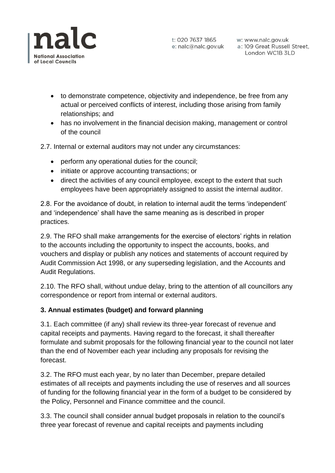

- to demonstrate competence, objectivity and independence, be free from any actual or perceived conflicts of interest, including those arising from family relationships; and
- has no involvement in the financial decision making, management or control of the council

2.7. Internal or external auditors may not under any circumstances:

- perform any operational duties for the council;
- initiate or approve accounting transactions; or
- direct the activities of any council employee, except to the extent that such employees have been appropriately assigned to assist the internal auditor.

2.8. For the avoidance of doubt, in relation to internal audit the terms 'independent' and 'independence' shall have the same meaning as is described in proper practices.

2.9. The RFO shall make arrangements for the exercise of electors' rights in relation to the accounts including the opportunity to inspect the accounts, books, and vouchers and display or publish any notices and statements of account required by Audit Commission Act 1998, or any superseding legislation, and the Accounts and Audit Regulations.

2.10. The RFO shall, without undue delay, bring to the attention of all councillors any correspondence or report from internal or external auditors.

# **3. Annual estimates (budget) and forward planning**

3.1. Each committee (if any) shall review its three-year forecast of revenue and capital receipts and payments. Having regard to the forecast, it shall thereafter formulate and submit proposals for the following financial year to the council not later than the end of November each year including any proposals for revising the forecast.

3.2. The RFO must each year, by no later than December, prepare detailed estimates of all receipts and payments including the use of reserves and all sources of funding for the following financial year in the form of a budget to be considered by the Policy, Personnel and Finance committee and the council.

3.3. The council shall consider annual budget proposals in relation to the council's three year forecast of revenue and capital receipts and payments including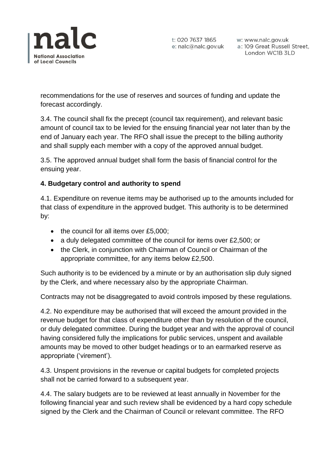

t: 020 7637 1865 w: www.nalc.gov.uk<br>e: nalc@nalc.gov.uk a: 109 Great Russell Street, London WC1B 3LD

recommendations for the use of reserves and sources of funding and update the forecast accordingly.

3.4. The council shall fix the precept (council tax requirement), and relevant basic amount of council tax to be levied for the ensuing financial year not later than by the end of January each year. The RFO shall issue the precept to the billing authority and shall supply each member with a copy of the approved annual budget.

3.5. The approved annual budget shall form the basis of financial control for the ensuing year.

## **4. Budgetary control and authority to spend**

4.1. Expenditure on revenue items may be authorised up to the amounts included for that class of expenditure in the approved budget. This authority is to be determined by:

- $\bullet$  the council for all items over £5,000;
- a duly delegated committee of the council for items over £2,500; or
- the Clerk, in conjunction with Chairman of Council or Chairman of the appropriate committee, for any items below £2,500.

Such authority is to be evidenced by a minute or by an authorisation slip duly signed by the Clerk, and where necessary also by the appropriate Chairman.

Contracts may not be disaggregated to avoid controls imposed by these regulations.

4.2. No expenditure may be authorised that will exceed the amount provided in the revenue budget for that class of expenditure other than by resolution of the council, or duly delegated committee. During the budget year and with the approval of council having considered fully the implications for public services, unspent and available amounts may be moved to other budget headings or to an earmarked reserve as appropriate ('virement').

4.3. Unspent provisions in the revenue or capital budgets for completed projects shall not be carried forward to a subsequent year.

4.4. The salary budgets are to be reviewed at least annually in November for the following financial year and such review shall be evidenced by a hard copy schedule signed by the Clerk and the Chairman of Council or relevant committee. The RFO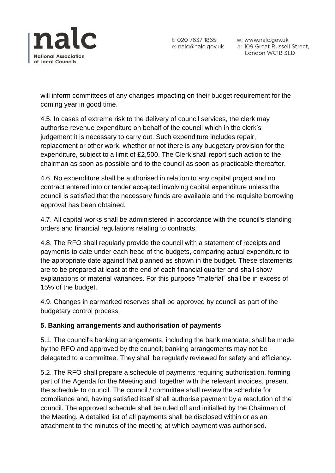

w: www.nalc.gov.uk London WC1B 3LD

will inform committees of any changes impacting on their budget requirement for the coming year in good time.

4.5. In cases of extreme risk to the delivery of council services, the clerk may authorise revenue expenditure on behalf of the council which in the clerk's judgement it is necessary to carry out. Such expenditure includes repair, replacement or other work, whether or not there is any budgetary provision for the expenditure, subject to a limit of £2,500. The Clerk shall report such action to the chairman as soon as possible and to the council as soon as practicable thereafter.

4.6. No expenditure shall be authorised in relation to any capital project and no contract entered into or tender accepted involving capital expenditure unless the council is satisfied that the necessary funds are available and the requisite borrowing approval has been obtained.

4.7. All capital works shall be administered in accordance with the council's standing orders and financial regulations relating to contracts.

4.8. The RFO shall regularly provide the council with a statement of receipts and payments to date under each head of the budgets, comparing actual expenditure to the appropriate date against that planned as shown in the budget. These statements are to be prepared at least at the end of each financial quarter and shall show explanations of material variances. For this purpose "material" shall be in excess of 15% of the budget.

4.9. Changes in earmarked reserves shall be approved by council as part of the budgetary control process.

### **5. Banking arrangements and authorisation of payments**

5.1. The council's banking arrangements, including the bank mandate, shall be made by the RFO and approved by the council; banking arrangements may not be delegated to a committee. They shall be regularly reviewed for safety and efficiency.

5.2. The RFO shall prepare a schedule of payments requiring authorisation, forming part of the Agenda for the Meeting and, together with the relevant invoices, present the schedule to council. The council / committee shall review the schedule for compliance and, having satisfied itself shall authorise payment by a resolution of the council. The approved schedule shall be ruled off and initialled by the Chairman of the Meeting. A detailed list of all payments shall be disclosed within or as an attachment to the minutes of the meeting at which payment was authorised.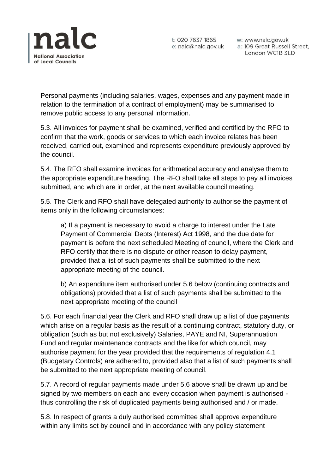

t: 020 7637 1865 w: www.nalc.gov.uk<br>e: nalc@nalc.gov.uk a: 109 Great Russell Street, London WC1B 3LD

Personal payments (including salaries, wages, expenses and any payment made in relation to the termination of a contract of employment) may be summarised to remove public access to any personal information.

5.3. All invoices for payment shall be examined, verified and certified by the RFO to confirm that the work, goods or services to which each invoice relates has been received, carried out, examined and represents expenditure previously approved by the council.

5.4. The RFO shall examine invoices for arithmetical accuracy and analyse them to the appropriate expenditure heading. The RFO shall take all steps to pay all invoices submitted, and which are in order, at the next available council meeting.

5.5. The Clerk and RFO shall have delegated authority to authorise the payment of items only in the following circumstances:

a) If a payment is necessary to avoid a charge to interest under the Late Payment of Commercial Debts (Interest) Act 1998, and the due date for payment is before the next scheduled Meeting of council, where the Clerk and RFO certify that there is no dispute or other reason to delay payment, provided that a list of such payments shall be submitted to the next appropriate meeting of the council.

b) An expenditure item authorised under 5.6 below (continuing contracts and obligations) provided that a list of such payments shall be submitted to the next appropriate meeting of the council

5.6. For each financial year the Clerk and RFO shall draw up a list of due payments which arise on a regular basis as the result of a continuing contract, statutory duty, or obligation (such as but not exclusively) Salaries, PAYE and NI, Superannuation Fund and regular maintenance contracts and the like for which council, may authorise payment for the year provided that the requirements of regulation 4.1 (Budgetary Controls) are adhered to, provided also that a list of such payments shall be submitted to the next appropriate meeting of council.

5.7. A record of regular payments made under 5.6 above shall be drawn up and be signed by two members on each and every occasion when payment is authorised thus controlling the risk of duplicated payments being authorised and / or made.

5.8. In respect of grants a duly authorised committee shall approve expenditure within any limits set by council and in accordance with any policy statement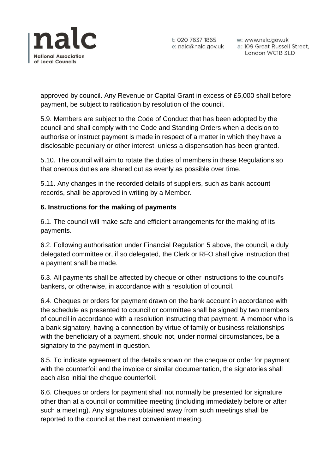

approved by council. Any Revenue or Capital Grant in excess of £5,000 shall before payment, be subject to ratification by resolution of the council.

5.9. Members are subject to the Code of Conduct that has been adopted by the council and shall comply with the Code and Standing Orders when a decision to authorise or instruct payment is made in respect of a matter in which they have a disclosable pecuniary or other interest, unless a dispensation has been granted.

5.10. The council will aim to rotate the duties of members in these Regulations so that onerous duties are shared out as evenly as possible over time.

5.11. Any changes in the recorded details of suppliers, such as bank account records, shall be approved in writing by a Member.

## **6. Instructions for the making of payments**

6.1. The council will make safe and efficient arrangements for the making of its payments.

6.2. Following authorisation under Financial Regulation 5 above, the council, a duly delegated committee or, if so delegated, the Clerk or RFO shall give instruction that a payment shall be made.

6.3. All payments shall be affected by cheque or other instructions to the council's bankers, or otherwise, in accordance with a resolution of council.

6.4. Cheques or orders for payment drawn on the bank account in accordance with the schedule as presented to council or committee shall be signed by two members of council in accordance with a resolution instructing that payment. A member who is a bank signatory, having a connection by virtue of family or business relationships with the beneficiary of a payment, should not, under normal circumstances, be a signatory to the payment in question.

6.5. To indicate agreement of the details shown on the cheque or order for payment with the counterfoil and the invoice or similar documentation, the signatories shall each also initial the cheque counterfoil.

6.6. Cheques or orders for payment shall not normally be presented for signature other than at a council or committee meeting (including immediately before or after such a meeting). Any signatures obtained away from such meetings shall be reported to the council at the next convenient meeting.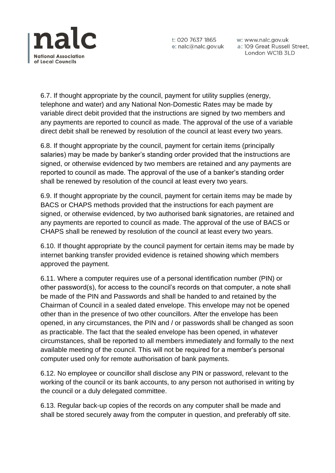

t: 020 7637 1865 e: nalc@nalc.gov.uk

w: www.nalc.gov.uk a: 109 Great Russell Street, London WC1B 3LD

6.7. If thought appropriate by the council, payment for utility supplies (energy, telephone and water) and any National Non-Domestic Rates may be made by variable direct debit provided that the instructions are signed by two members and any payments are reported to council as made. The approval of the use of a variable direct debit shall be renewed by resolution of the council at least every two years.

6.8. If thought appropriate by the council, payment for certain items (principally salaries) may be made by banker's standing order provided that the instructions are signed, or otherwise evidenced by two members are retained and any payments are reported to council as made. The approval of the use of a banker's standing order shall be renewed by resolution of the council at least every two years.

6.9. If thought appropriate by the council, payment for certain items may be made by BACS or CHAPS methods provided that the instructions for each payment are signed, or otherwise evidenced, by two authorised bank signatories, are retained and any payments are reported to council as made. The approval of the use of BACS or CHAPS shall be renewed by resolution of the council at least every two years.

6.10. If thought appropriate by the council payment for certain items may be made by internet banking transfer provided evidence is retained showing which members approved the payment.

6.11. Where a computer requires use of a personal identification number (PIN) or other password(s), for access to the council's records on that computer, a note shall be made of the PIN and Passwords and shall be handed to and retained by the Chairman of Council in a sealed dated envelope. This envelope may not be opened other than in the presence of two other councillors. After the envelope has been opened, in any circumstances, the PIN and / or passwords shall be changed as soon as practicable. The fact that the sealed envelope has been opened, in whatever circumstances, shall be reported to all members immediately and formally to the next available meeting of the council. This will not be required for a member's personal computer used only for remote authorisation of bank payments.

6.12. No employee or councillor shall disclose any PIN or password, relevant to the working of the council or its bank accounts, to any person not authorised in writing by the council or a duly delegated committee.

6.13. Regular back-up copies of the records on any computer shall be made and shall be stored securely away from the computer in question, and preferably off site.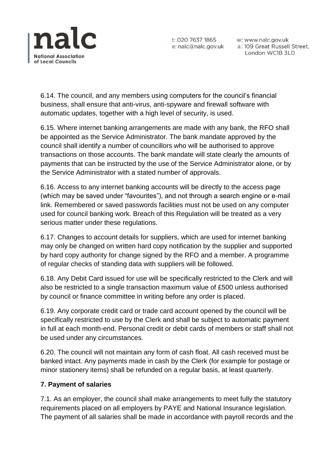

w: www.nalc.gov.uk London WC1B 3LD

6.14. The council, and any members using computers for the council's financial business, shall ensure that anti-virus, anti-spyware and firewall software with automatic updates, together with a high level of security, is used.

6.15. Where internet banking arrangements are made with any bank, the RFO shall be appointed as the Service Administrator. The bank mandate approved by the council shall identify a number of councillors who will be authorised to approve transactions on those accounts. The bank mandate will state clearly the amounts of payments that can be instructed by the use of the Service Administrator alone, or by the Service Administrator with a stated number of approvals.

6.16. Access to any internet banking accounts will be directly to the access page (which may be saved under "favourites"), and not through a search engine or e-mail link. Remembered or saved passwords facilities must not be used on any computer used for council banking work. Breach of this Regulation will be treated as a very serious matter under these regulations.

6.17. Changes to account details for suppliers, which are used for internet banking may only be changed on written hard copy notification by the supplier and supported by hard copy authority for change signed by the RFO and a member. A programme of regular checks of standing data with suppliers will be followed.

6.18. Any Debit Card issued for use will be specifically restricted to the Clerk and will also be restricted to a single transaction maximum value of £500 unless authorised by council or finance committee in writing before any order is placed.

6.19. Any corporate credit card or trade card account opened by the council will be specifically restricted to use by the Clerk and shall be subject to automatic payment in full at each month-end. Personal credit or debit cards of members or staff shall not be used under any circumstances.

6.20. The council will not maintain any form of cash float. All cash received must be banked intact. Any payments made in cash by the Clerk (for example for postage or minor stationery items) shall be refunded on a regular basis, at least quarterly.

### **7. Payment of salaries**

7.1. As an employer, the council shall make arrangements to meet fully the statutory requirements placed on all employers by PAYE and National Insurance legislation. The payment of all salaries shall be made in accordance with payroll records and the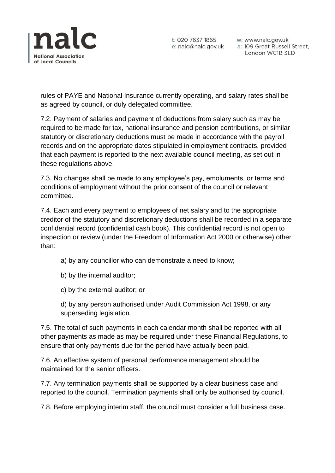

rules of PAYE and National Insurance currently operating, and salary rates shall be as agreed by council, or duly delegated committee.

7.2. Payment of salaries and payment of deductions from salary such as may be required to be made for tax, national insurance and pension contributions, or similar statutory or discretionary deductions must be made in accordance with the payroll records and on the appropriate dates stipulated in employment contracts, provided that each payment is reported to the next available council meeting, as set out in these regulations above.

7.3. No changes shall be made to any employee's pay, emoluments, or terms and conditions of employment without the prior consent of the council or relevant committee.

7.4. Each and every payment to employees of net salary and to the appropriate creditor of the statutory and discretionary deductions shall be recorded in a separate confidential record (confidential cash book). This confidential record is not open to inspection or review (under the Freedom of Information Act 2000 or otherwise) other than:

- a) by any councillor who can demonstrate a need to know;
- b) by the internal auditor;
- c) by the external auditor; or

d) by any person authorised under Audit Commission Act 1998, or any superseding legislation.

7.5. The total of such payments in each calendar month shall be reported with all other payments as made as may be required under these Financial Regulations, to ensure that only payments due for the period have actually been paid.

7.6. An effective system of personal performance management should be maintained for the senior officers.

7.7. Any termination payments shall be supported by a clear business case and reported to the council. Termination payments shall only be authorised by council.

7.8. Before employing interim staff, the council must consider a full business case.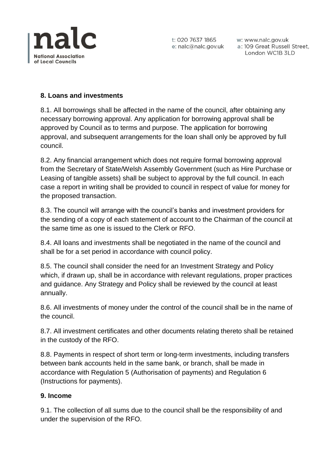

t: 020 7637 1865 w: www.nalc.gov.uk<br>e: nalc@nalc.gov.uk a: 109 Great Russell Street, London WC1B 3LD

### **8. Loans and investments**

8.1. All borrowings shall be affected in the name of the council, after obtaining any necessary borrowing approval. Any application for borrowing approval shall be approved by Council as to terms and purpose. The application for borrowing approval, and subsequent arrangements for the loan shall only be approved by full council.

8.2. Any financial arrangement which does not require formal borrowing approval from the Secretary of State/Welsh Assembly Government (such as Hire Purchase or Leasing of tangible assets) shall be subject to approval by the full council. In each case a report in writing shall be provided to council in respect of value for money for the proposed transaction.

8.3. The council will arrange with the council's banks and investment providers for the sending of a copy of each statement of account to the Chairman of the council at the same time as one is issued to the Clerk or RFO.

8.4. All loans and investments shall be negotiated in the name of the council and shall be for a set period in accordance with council policy.

8.5. The council shall consider the need for an Investment Strategy and Policy which, if drawn up, shall be in accordance with relevant regulations, proper practices and guidance. Any Strategy and Policy shall be reviewed by the council at least annually.

8.6. All investments of money under the control of the council shall be in the name of the council.

8.7. All investment certificates and other documents relating thereto shall be retained in the custody of the RFO.

8.8. Payments in respect of short term or long-term investments, including transfers between bank accounts held in the same bank, or branch, shall be made in accordance with Regulation 5 (Authorisation of payments) and Regulation 6 (Instructions for payments).

### **9. Income**

9.1. The collection of all sums due to the council shall be the responsibility of and under the supervision of the RFO.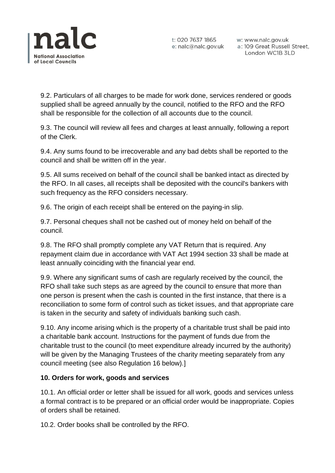

9.2. Particulars of all charges to be made for work done, services rendered or goods supplied shall be agreed annually by the council, notified to the RFO and the RFO shall be responsible for the collection of all accounts due to the council.

9.3. The council will review all fees and charges at least annually, following a report of the Clerk.

9.4. Any sums found to be irrecoverable and any bad debts shall be reported to the council and shall be written off in the year.

9.5. All sums received on behalf of the council shall be banked intact as directed by the RFO. In all cases, all receipts shall be deposited with the council's bankers with such frequency as the RFO considers necessary.

9.6. The origin of each receipt shall be entered on the paying-in slip.

9.7. Personal cheques shall not be cashed out of money held on behalf of the council.

9.8. The RFO shall promptly complete any VAT Return that is required. Any repayment claim due in accordance with VAT Act 1994 section 33 shall be made at least annually coinciding with the financial year end.

9.9. Where any significant sums of cash are regularly received by the council, the RFO shall take such steps as are agreed by the council to ensure that more than one person is present when the cash is counted in the first instance, that there is a reconciliation to some form of control such as ticket issues, and that appropriate care is taken in the security and safety of individuals banking such cash.

9.10. Any income arising which is the property of a charitable trust shall be paid into a charitable bank account. Instructions for the payment of funds due from the charitable trust to the council (to meet expenditure already incurred by the authority) will be given by the Managing Trustees of the charity meeting separately from any council meeting (see also Regulation 16 below).]

### **10. Orders for work, goods and services**

10.1. An official order or letter shall be issued for all work, goods and services unless a formal contract is to be prepared or an official order would be inappropriate. Copies of orders shall be retained.

10.2. Order books shall be controlled by the RFO.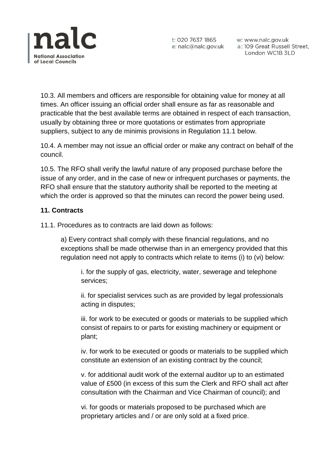

10.3. All members and officers are responsible for obtaining value for money at all times. An officer issuing an official order shall ensure as far as reasonable and practicable that the best available terms are obtained in respect of each transaction, usually by obtaining three or more quotations or estimates from appropriate suppliers, subject to any de minimis provisions in Regulation 11.1 below.

10.4. A member may not issue an official order or make any contract on behalf of the council.

10.5. The RFO shall verify the lawful nature of any proposed purchase before the issue of any order, and in the case of new or infrequent purchases or payments, the RFO shall ensure that the statutory authority shall be reported to the meeting at which the order is approved so that the minutes can record the power being used.

### **11. Contracts**

11.1. Procedures as to contracts are laid down as follows:

a) Every contract shall comply with these financial regulations, and no exceptions shall be made otherwise than in an emergency provided that this regulation need not apply to contracts which relate to items (i) to (vi) below:

i. for the supply of gas, electricity, water, sewerage and telephone services;

ii. for specialist services such as are provided by legal professionals acting in disputes;

iii. for work to be executed or goods or materials to be supplied which consist of repairs to or parts for existing machinery or equipment or plant;

iv. for work to be executed or goods or materials to be supplied which constitute an extension of an existing contract by the council;

v. for additional audit work of the external auditor up to an estimated value of £500 (in excess of this sum the Clerk and RFO shall act after consultation with the Chairman and Vice Chairman of council); and

vi. for goods or materials proposed to be purchased which are proprietary articles and / or are only sold at a fixed price.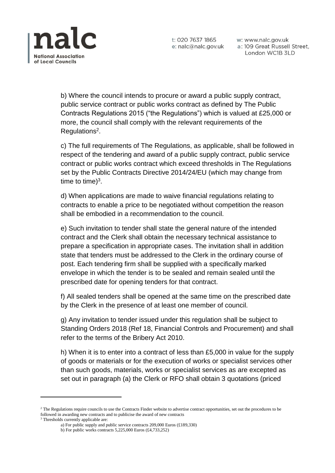

t: 020 7637 1865 e: nalc@nalc.gov.uk w: www.nalc.gov.uk a: 109 Great Russell Street, London WC1B 3LD

b) Where the council intends to procure or award a public supply contract, public service contract or public works contract as defined by The Public Contracts Regulations 2015 ("the Regulations") which is valued at £25,000 or more, the council shall comply with the relevant requirements of the Regulations<sup>2</sup>.

c) The full requirements of The Regulations, as applicable, shall be followed in respect of the tendering and award of a public supply contract, public service contract or public works contract which exceed thresholds in The Regulations set by the Public Contracts Directive 2014/24/EU (which may change from time to time) $3$ .

d) When applications are made to waive financial regulations relating to contracts to enable a price to be negotiated without competition the reason shall be embodied in a recommendation to the council.

e) Such invitation to tender shall state the general nature of the intended contract and the Clerk shall obtain the necessary technical assistance to prepare a specification in appropriate cases. The invitation shall in addition state that tenders must be addressed to the Clerk in the ordinary course of post. Each tendering firm shall be supplied with a specifically marked envelope in which the tender is to be sealed and remain sealed until the prescribed date for opening tenders for that contract.

f) All sealed tenders shall be opened at the same time on the prescribed date by the Clerk in the presence of at least one member of council.

g) Any invitation to tender issued under this regulation shall be subject to Standing Orders 2018 (Ref 18, Financial Controls and Procurement) and shall refer to the terms of the Bribery Act 2010.

h) When it is to enter into a contract of less than £5,000 in value for the supply of goods or materials or for the execution of works or specialist services other than such goods, materials, works or specialist services as are excepted as set out in paragraph (a) the Clerk or RFO shall obtain 3 quotations (priced

<sup>3</sup> Thresholds currently applicable are:

**.** 

<sup>&</sup>lt;sup>2</sup> The Regulations require councils to use the Contracts Finder website to advertise contract opportunities, set out the procedures to be followed in awarding new contracts and to publicise the award of new contracts

a) For public supply and public service contracts 209,000 Euros (£189,330)

b) For public works contracts 5,225,000 Euros (£4,733,252)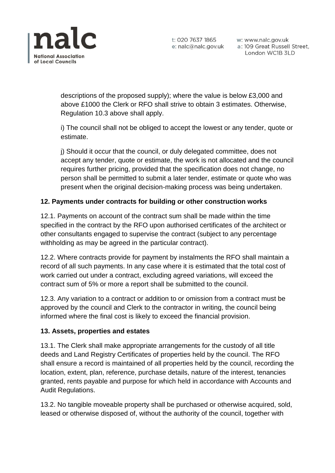

descriptions of the proposed supply); where the value is below £3,000 and above £1000 the Clerk or RFO shall strive to obtain 3 estimates. Otherwise, Regulation 10.3 above shall apply.

i) The council shall not be obliged to accept the lowest or any tender, quote or estimate.

j) Should it occur that the council, or duly delegated committee, does not accept any tender, quote or estimate, the work is not allocated and the council requires further pricing, provided that the specification does not change, no person shall be permitted to submit a later tender, estimate or quote who was present when the original decision-making process was being undertaken.

# **12. Payments under contracts for building or other construction works**

12.1. Payments on account of the contract sum shall be made within the time specified in the contract by the RFO upon authorised certificates of the architect or other consultants engaged to supervise the contract (subject to any percentage withholding as may be agreed in the particular contract).

12.2. Where contracts provide for payment by instalments the RFO shall maintain a record of all such payments. In any case where it is estimated that the total cost of work carried out under a contract, excluding agreed variations, will exceed the contract sum of 5% or more a report shall be submitted to the council.

12.3. Any variation to a contract or addition to or omission from a contract must be approved by the council and Clerk to the contractor in writing, the council being informed where the final cost is likely to exceed the financial provision.

### **13. Assets, properties and estates**

13.1. The Clerk shall make appropriate arrangements for the custody of all title deeds and Land Registry Certificates of properties held by the council. The RFO shall ensure a record is maintained of all properties held by the council, recording the location, extent, plan, reference, purchase details, nature of the interest, tenancies granted, rents payable and purpose for which held in accordance with Accounts and Audit Regulations.

13.2. No tangible moveable property shall be purchased or otherwise acquired, sold, leased or otherwise disposed of, without the authority of the council, together with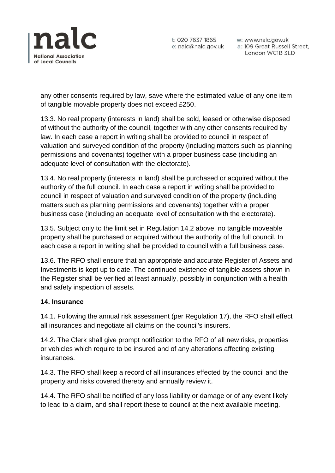

t: 020 7637 1865 w: www.nalc.gov.uk<br>e: nalc@nalc.gov.uk a: 109 Great Russell Street, London WC1B 3LD

any other consents required by law, save where the estimated value of any one item of tangible movable property does not exceed £250.

13.3. No real property (interests in land) shall be sold, leased or otherwise disposed of without the authority of the council, together with any other consents required by law. In each case a report in writing shall be provided to council in respect of valuation and surveyed condition of the property (including matters such as planning permissions and covenants) together with a proper business case (including an adequate level of consultation with the electorate).

13.4. No real property (interests in land) shall be purchased or acquired without the authority of the full council. In each case a report in writing shall be provided to council in respect of valuation and surveyed condition of the property (including matters such as planning permissions and covenants) together with a proper business case (including an adequate level of consultation with the electorate).

13.5. Subject only to the limit set in Regulation 14.2 above, no tangible moveable property shall be purchased or acquired without the authority of the full council. In each case a report in writing shall be provided to council with a full business case.

13.6. The RFO shall ensure that an appropriate and accurate Register of Assets and Investments is kept up to date. The continued existence of tangible assets shown in the Register shall be verified at least annually, possibly in conjunction with a health and safety inspection of assets.

### **14. Insurance**

14.1. Following the annual risk assessment (per Regulation 17), the RFO shall effect all insurances and negotiate all claims on the council's insurers.

14.2. The Clerk shall give prompt notification to the RFO of all new risks, properties or vehicles which require to be insured and of any alterations affecting existing insurances.

14.3. The RFO shall keep a record of all insurances effected by the council and the property and risks covered thereby and annually review it.

14.4. The RFO shall be notified of any loss liability or damage or of any event likely to lead to a claim, and shall report these to council at the next available meeting.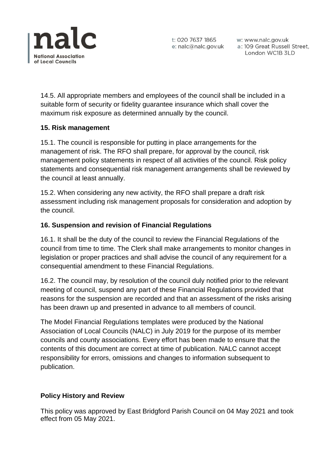

14.5. All appropriate members and employees of the council shall be included in a suitable form of security or fidelity guarantee insurance which shall cover the maximum risk exposure as determined annually by the council.

#### **15. Risk management**

15.1. The council is responsible for putting in place arrangements for the management of risk. The RFO shall prepare, for approval by the council, risk management policy statements in respect of all activities of the council. Risk policy statements and consequential risk management arrangements shall be reviewed by the council at least annually.

15.2. When considering any new activity, the RFO shall prepare a draft risk assessment including risk management proposals for consideration and adoption by the council.

### **16. Suspension and revision of Financial Regulations**

16.1. It shall be the duty of the council to review the Financial Regulations of the council from time to time. The Clerk shall make arrangements to monitor changes in legislation or proper practices and shall advise the council of any requirement for a consequential amendment to these Financial Regulations.

16.2. The council may, by resolution of the council duly notified prior to the relevant meeting of council, suspend any part of these Financial Regulations provided that reasons for the suspension are recorded and that an assessment of the risks arising has been drawn up and presented in advance to all members of council.

The Model Financial Regulations templates were produced by the National Association of Local Councils (NALC) in July 2019 for the purpose of its member councils and county associations. Every effort has been made to ensure that the contents of this document are correct at time of publication. NALC cannot accept responsibility for errors, omissions and changes to information subsequent to publication.

# **Policy History and Review**

This policy was approved by East Bridgford Parish Council on 04 May 2021 and took effect from 05 May 2021.